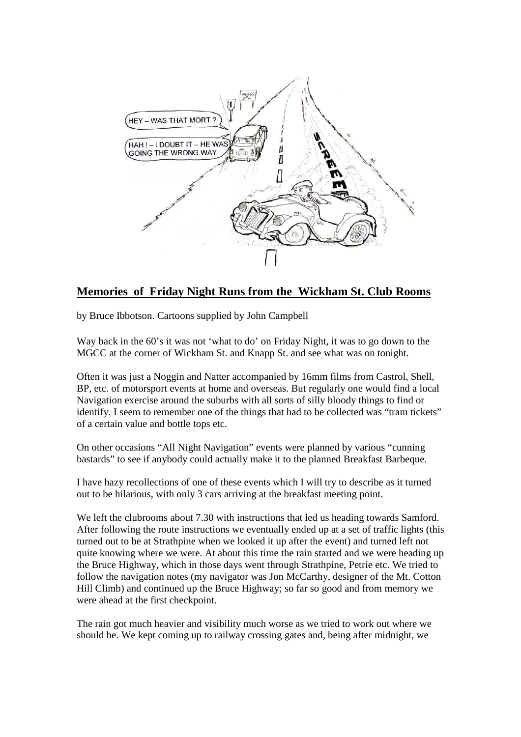

## **Memories of Friday Night Runs from the Wickham St. Club Rooms**

by Bruce Ibbotson. Cartoons supplied by John Campbell

Way back in the 60's it was not 'what to do' on Friday Night, it was to go down to the MGCC at the corner of Wickham St. and Knapp St. and see what was on tonight.

Often it was just a Noggin and Natter accompanied by 16mm films from Castrol, Shell, BP, etc. of motorsport events at home and overseas. But regularly one would find a local Navigation exercise around the suburbs with all sorts of silly bloody things to find or identify. I seem to remember one of the things that had to be collected was "tram tickets" of a certain value and bottle tops etc.

On other occasions "All Night Navigation" events were planned by various "cunning bastards" to see if anybody could actually make it to the planned Breakfast Barbeque.

I have hazy recollections of one of these events which I will try to describe as it turned out to be hilarious, with only 3 cars arriving at the breakfast meeting point.

We left the clubrooms about 7.30 with instructions that led us heading towards Samford. After following the route instructions we eventually ended up at a set of traffic lights (this turned out to be at Strathpine when we looked it up after the event) and turned left not quite knowing where we were. At about this time the rain started and we were heading up the Bruce Highway, which in those days went through Strathpine, Petrie etc. We tried to follow the navigation notes (my navigator was Jon McCarthy, designer of the Mt. Cotton Hill Climb) and continued up the Bruce Highway; so far so good and from memory we were ahead at the first checkpoint.

The rain got much heavier and visibility much worse as we tried to work out where we should be. We kept coming up to railway crossing gates and, being after midnight, we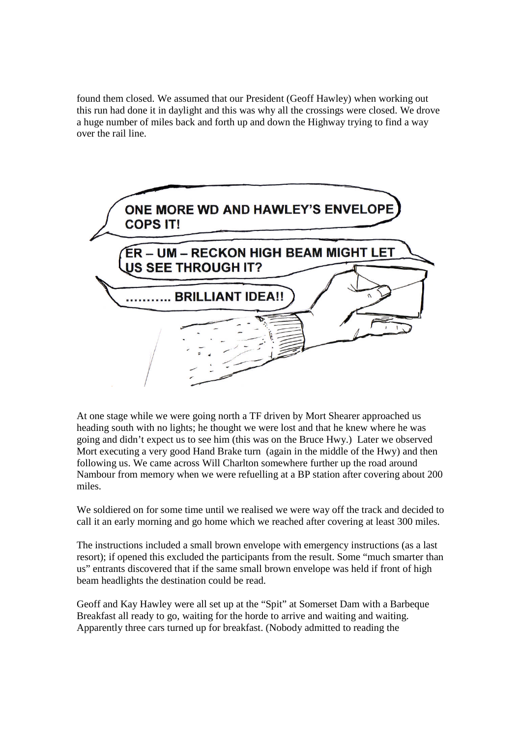found them closed. We assumed that our President (Geoff Hawley) when working out this run had done it in daylight and this was why all the crossings were closed. We drove a huge number of miles back and forth up and down the Highway trying to find a way over the rail line.



At one stage while we were going north a TF driven by Mort Shearer approached us heading south with no lights; he thought we were lost and that he knew where he was going and didn't expect us to see him (this was on the Bruce Hwy.) Later we observed Mort executing a very good Hand Brake turn (again in the middle of the Hwy) and then following us. We came across Will Charlton somewhere further up the road around Nambour from memory when we were refuelling at a BP station after covering about 200 miles.

We soldiered on for some time until we realised we were way off the track and decided to call it an early morning and go home which we reached after covering at least 300 miles.

The instructions included a small brown envelope with emergency instructions (as a last resort); if opened this excluded the participants from the result. Some "much smarter than us" entrants discovered that if the same small brown envelope was held if front of high beam headlights the destination could be read.

Geoff and Kay Hawley were all set up at the "Spit" at Somerset Dam with a Barbeque Breakfast all ready to go, waiting for the horde to arrive and waiting and waiting. Apparently three cars turned up for breakfast. (Nobody admitted to reading the